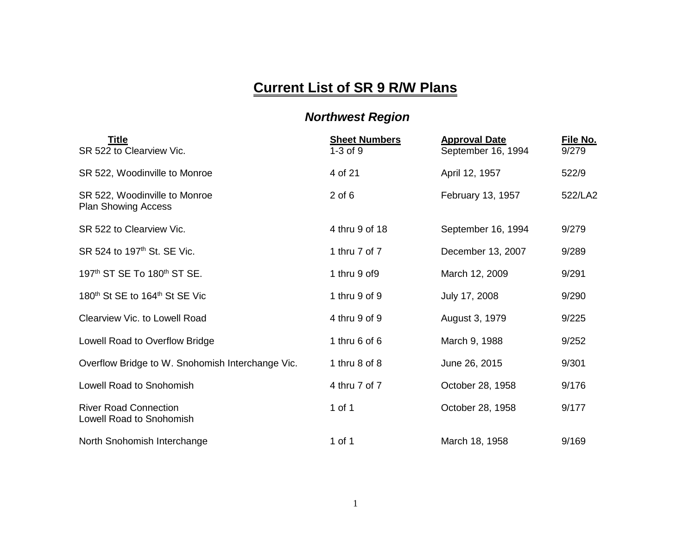## **Current List of SR 9 R/W Plans**

## *Northwest Region*

| <b>Title</b><br>SR 522 to Clearview Vic.                    | <b>Sheet Numbers</b><br>$1-3$ of $9$ | <b>Approval Date</b><br>September 16, 1994 | File No.<br>9/279 |
|-------------------------------------------------------------|--------------------------------------|--------------------------------------------|-------------------|
| SR 522, Woodinville to Monroe                               | 4 of 21                              | April 12, 1957                             | 522/9             |
| SR 522, Woodinville to Monroe<br><b>Plan Showing Access</b> | $2$ of $6$                           | February 13, 1957                          | 522/LA2           |
| SR 522 to Clearview Vic.                                    | 4 thru 9 of 18                       | September 16, 1994                         | 9/279             |
| SR 524 to 197 <sup>th</sup> St. SE Vic.                     | 1 thru 7 of 7                        | December 13, 2007                          | 9/289             |
| 197 <sup>th</sup> ST SE To 180 <sup>th</sup> ST SE.         | 1 thru 9 of 9                        | March 12, 2009                             | 9/291             |
| 180 <sup>th</sup> St SE to 164 <sup>th</sup> St SE Vic      | 1 thru 9 of 9                        | July 17, 2008                              | 9/290             |
| Clearview Vic. to Lowell Road                               | 4 thru 9 of 9                        | August 3, 1979                             | 9/225             |
| Lowell Road to Overflow Bridge                              | 1 thru $6$ of $6$                    | March 9, 1988                              | 9/252             |
| Overflow Bridge to W. Snohomish Interchange Vic.            | 1 thru $8$ of $8$                    | June 26, 2015                              | 9/301             |
| Lowell Road to Snohomish                                    | 4 thru 7 of 7                        | October 28, 1958                           | 9/176             |
| <b>River Road Connection</b><br>Lowell Road to Snohomish    | 1 of 1                               | October 28, 1958                           | 9/177             |
| North Snohomish Interchange                                 | 1 of 1                               | March 18, 1958                             | 9/169             |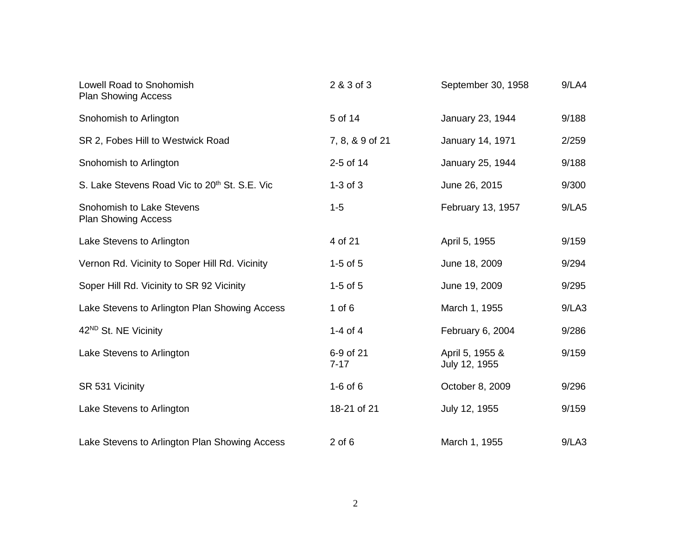| Lowell Road to Snohomish<br><b>Plan Showing Access</b>    | 2 & 3 of 3            | September 30, 1958               | 9/LAA |
|-----------------------------------------------------------|-----------------------|----------------------------------|-------|
| Snohomish to Arlington                                    | 5 of 14               | January 23, 1944                 | 9/188 |
| SR 2, Fobes Hill to Westwick Road                         | 7, 8, & 9 of 21       | January 14, 1971                 | 2/259 |
| Snohomish to Arlington                                    | 2-5 of 14             | January 25, 1944                 | 9/188 |
| S. Lake Stevens Road Vic to 20 <sup>th</sup> St. S.E. Vic | $1-3$ of $3$          | June 26, 2015                    | 9/300 |
| Snohomish to Lake Stevens<br><b>Plan Showing Access</b>   | $1 - 5$               | February 13, 1957                | 9/LA5 |
| Lake Stevens to Arlington                                 | 4 of 21               | April 5, 1955                    | 9/159 |
| Vernon Rd. Vicinity to Soper Hill Rd. Vicinity            | $1-5$ of $5$          | June 18, 2009                    | 9/294 |
| Soper Hill Rd. Vicinity to SR 92 Vicinity                 | $1-5$ of $5$          | June 19, 2009                    | 9/295 |
| Lake Stevens to Arlington Plan Showing Access             | 1 of $6$              | March 1, 1955                    | 9/LA3 |
| 42 <sup>ND</sup> St. NE Vicinity                          | 1-4 of $4$            | February 6, 2004                 | 9/286 |
| Lake Stevens to Arlington                                 | 6-9 of 21<br>$7 - 17$ | April 5, 1955 &<br>July 12, 1955 | 9/159 |
| SR 531 Vicinity                                           | $1-6$ of $6$          | October 8, 2009                  | 9/296 |
| Lake Stevens to Arlington                                 | 18-21 of 21           | July 12, 1955                    | 9/159 |
| Lake Stevens to Arlington Plan Showing Access             | $2$ of $6$            | March 1, 1955                    | 9/LA3 |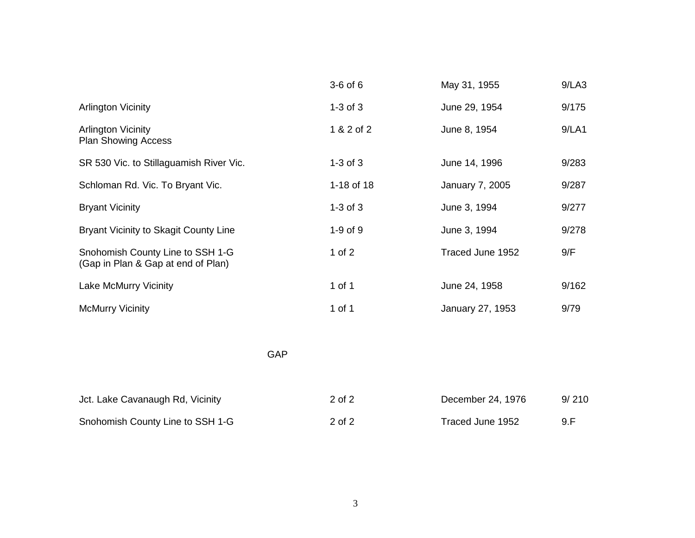|                                                                        | $3-6$ of $6$ | May 31, 1955      | 9/LA3 |
|------------------------------------------------------------------------|--------------|-------------------|-------|
| <b>Arlington Vicinity</b>                                              | $1-3$ of $3$ | June 29, 1954     | 9/175 |
| <b>Arlington Vicinity</b><br><b>Plan Showing Access</b>                | 1 & 2 of 2   | June 8, 1954      | 9/LA1 |
| SR 530 Vic. to Stillaguamish River Vic.                                | $1-3$ of $3$ | June 14, 1996     | 9/283 |
| Schloman Rd. Vic. To Bryant Vic.                                       | 1-18 of 18   | January 7, 2005   | 9/287 |
| <b>Bryant Vicinity</b>                                                 | $1-3$ of $3$ | June 3, 1994      | 9/277 |
| Bryant Vicinity to Skagit County Line                                  | $1-9$ of $9$ | June 3, 1994      | 9/278 |
| Snohomish County Line to SSH 1-G<br>(Gap in Plan & Gap at end of Plan) | 1 of $2$     | Traced June 1952  | 9/F   |
| Lake McMurry Vicinity                                                  | 1 of 1       | June 24, 1958     | 9/162 |
| <b>McMurry Vicinity</b>                                                | 1 of 1       | January 27, 1953  | 9/79  |
| <b>GAP</b>                                                             |              |                   |       |
| Jct. Lake Cavanaugh Rd, Vicinity                                       | 2 of 2       | December 24, 1976 | 9/210 |
| Snohomish County Line to SSH 1-G                                       | 2 of 2       | Traced June 1952  | 9.F   |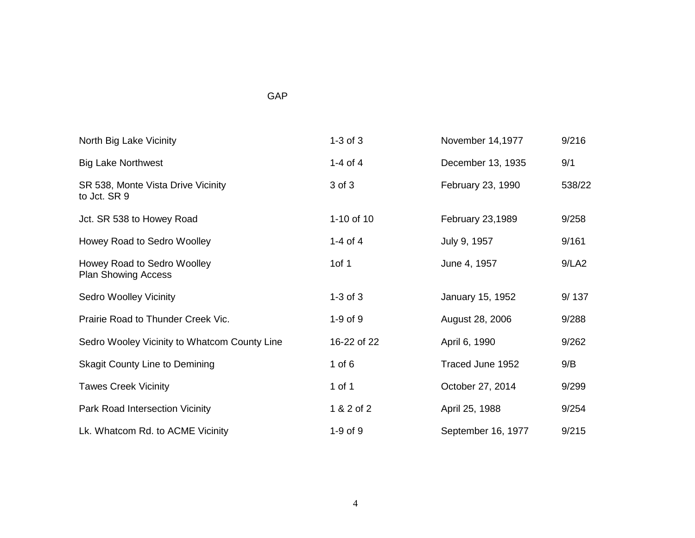## GAP

| North Big Lake Vicinity                                   | $1-3$ of $3$ | November 14,1977   | 9/216  |
|-----------------------------------------------------------|--------------|--------------------|--------|
| <b>Big Lake Northwest</b>                                 | 1-4 of 4     | December 13, 1935  | 9/1    |
| SR 538, Monte Vista Drive Vicinity<br>to Jct. SR 9        | 3 of 3       | February 23, 1990  | 538/22 |
| Jct. SR 538 to Howey Road                                 | 1-10 of 10   | February 23,1989   | 9/258  |
| Howey Road to Sedro Woolley                               | 1-4 of 4     | July 9, 1957       | 9/161  |
| Howey Road to Sedro Woolley<br><b>Plan Showing Access</b> | 1 $of 1$     | June 4, 1957       | 9/LA2  |
| <b>Sedro Woolley Vicinity</b>                             | $1-3$ of $3$ | January 15, 1952   | 9/137  |
| Prairie Road to Thunder Creek Vic.                        | $1-9$ of $9$ | August 28, 2006    | 9/288  |
| Sedro Wooley Vicinity to Whatcom County Line              | 16-22 of 22  | April 6, 1990      | 9/262  |
| <b>Skagit County Line to Demining</b>                     | 1 of $6$     | Traced June 1952   | 9/B    |
| <b>Tawes Creek Vicinity</b>                               | 1 of 1       | October 27, 2014   | 9/299  |
| Park Road Intersection Vicinity                           | 1 & 2 of 2   | April 25, 1988     | 9/254  |
| Lk. Whatcom Rd. to ACME Vicinity                          | $1-9$ of $9$ | September 16, 1977 | 9/215  |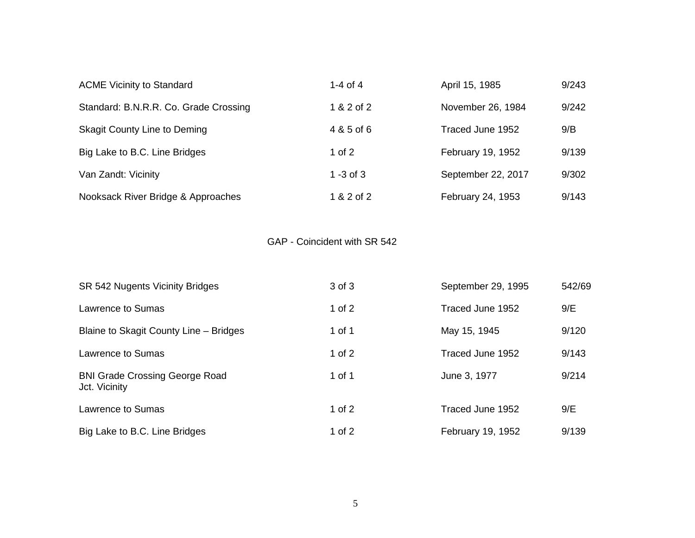| <b>ACME Vicinity to Standard</b>      | 1-4 of $4$  | April 15, 1985     | 9/243 |
|---------------------------------------|-------------|--------------------|-------|
| Standard: B.N.R.R. Co. Grade Crossing | 1 & 2 of 2  | November 26, 1984  | 9/242 |
| <b>Skagit County Line to Deming</b>   | 4 & 5 of 6  | Traced June 1952   | 9/B   |
| Big Lake to B.C. Line Bridges         | $1$ of $2$  | February 19, 1952  | 9/139 |
| Van Zandt: Vicinity                   | 1 -3 of $3$ | September 22, 2017 | 9/302 |
| Nooksack River Bridge & Approaches    | 1 & 2 of 2  | February 24, 1953  | 9/143 |

GAP - Coincident with SR 542

| SR 542 Nugents Vicinity Bridges                        | 3 of 3     | September 29, 1995 | 542/69 |
|--------------------------------------------------------|------------|--------------------|--------|
| Lawrence to Sumas                                      | $1$ of $2$ | Traced June 1952   | 9/E    |
| Blaine to Skagit County Line - Bridges                 | 1 of 1     | May 15, 1945       | 9/120  |
| Lawrence to Sumas                                      | 1 of $2$   | Traced June 1952   | 9/143  |
| <b>BNI Grade Crossing George Road</b><br>Jct. Vicinity | 1 of 1     | June 3, 1977       | 9/214  |
| Lawrence to Sumas                                      | 1 of $2$   | Traced June 1952   | 9/E    |
| Big Lake to B.C. Line Bridges                          | 1 of 2     | February 19, 1952  | 9/139  |